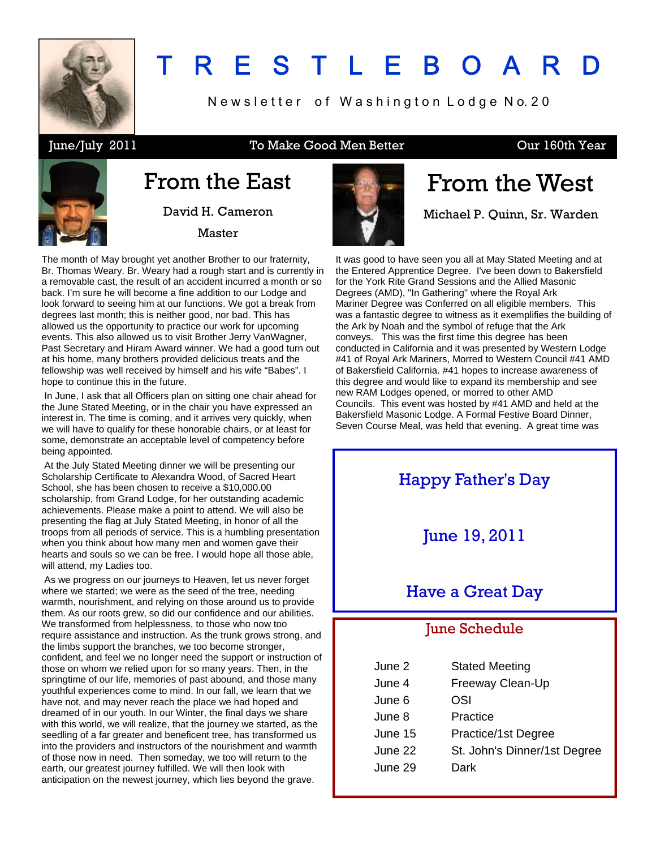

## T R E S T L E B O A R

Newsletter of Washington Lodge No. 20

#### June/July 2011 To Make Good Men Better Cur 160th Year



## From the East

David H. Cameron Master

The month of May brought yet another Brother to our fraternity, Br. Thomas Weary. Br. Weary had a rough start and is currently in a removable cast, the result of an accident incurred a month or so back. I'm sure he will become a fine addition to our Lodge and look forward to seeing him at our functions. We got a break from degrees last month; this is neither good, nor bad. This has allowed us the opportunity to practice our work for upcoming events. This also allowed us to visit Brother Jerry VanWagner, Past Secretary and Hiram Award winner. We had a good turn out at his home, many brothers provided delicious treats and the fellowship was well received by himself and his wife "Babes". I hope to continue this in the future.

 In June, I ask that all Officers plan on sitting one chair ahead for the June Stated Meeting, or in the chair you have expressed an interest in. The time is coming, and it arrives very quickly, when we will have to qualify for these honorable chairs, or at least for some, demonstrate an acceptable level of competency before being appointed.

 At the July Stated Meeting dinner we will be presenting our Scholarship Certificate to Alexandra Wood, of Sacred Heart School, she has been chosen to receive a \$10,000.00 scholarship, from Grand Lodge, for her outstanding academic achievements. Please make a point to attend. We will also be presenting the flag at July Stated Meeting, in honor of all the troops from all periods of service. This is a humbling presentation when you think about how many men and women gave their hearts and souls so we can be free. I would hope all those able, will attend, my Ladies too.

 As we progress on our journeys to Heaven, let us never forget where we started; we were as the seed of the tree, needing warmth, nourishment, and relying on those around us to provide them. As our roots grew, so did our confidence and our abilities. We transformed from helplessness, to those who now too require assistance and instruction. As the trunk grows strong, and the limbs support the branches, we too become stronger, confident, and feel we no longer need the support or instruction of those on whom we relied upon for so many years. Then, in the springtime of our life, memories of past abound, and those many youthful experiences come to mind. In our fall, we learn that we have not, and may never reach the place we had hoped and dreamed of in our youth. In our Winter, the final days we share with this world, we will realize, that the journey we started, as the seedling of a far greater and beneficent tree, has transformed us into the providers and instructors of the nourishment and warmth of those now in need. Then someday, we too will return to the earth, our greatest journey fulfilled. We will then look with anticipation on the newest journey, which lies beyond the grave.



## From the West

Michael P. Quinn, Sr. Warden

It was good to have seen you all at May Stated Meeting and at the Entered Apprentice Degree. I've been down to Bakersfield for the York Rite Grand Sessions and the Allied Masonic Degrees (AMD), "In Gathering" where the Royal Ark Mariner Degree was Conferred on all eligible members. This was a fantastic degree to witness as it exemplifies the building of the Ark by Noah and the symbol of refuge that the Ark conveys. This was the first time this degree has been conducted in California and it was presented by Western Lodge #41 of Royal Ark Mariners, Morred to Western Council #41 AMD of Bakersfield California. #41 hopes to increase awareness of this degree and would like to expand its membership and see new RAM Lodges opened, or morred to other AMD Councils. This event was hosted by #41 AMD and held at the Bakersfield Masonic Lodge. A Formal Festive Board Dinner, Seven Course Meal, was held that evening. A great time was



| June 2  | <b>Stated Meeting</b>        |
|---------|------------------------------|
| June 4  | Freeway Clean-Up             |
| June 6  | OSI                          |
| June 8  | Practice                     |
| June 15 | Practice/1st Degree          |
| June 22 | St. John's Dinner/1st Degree |
| June 29 | Dark                         |
|         |                              |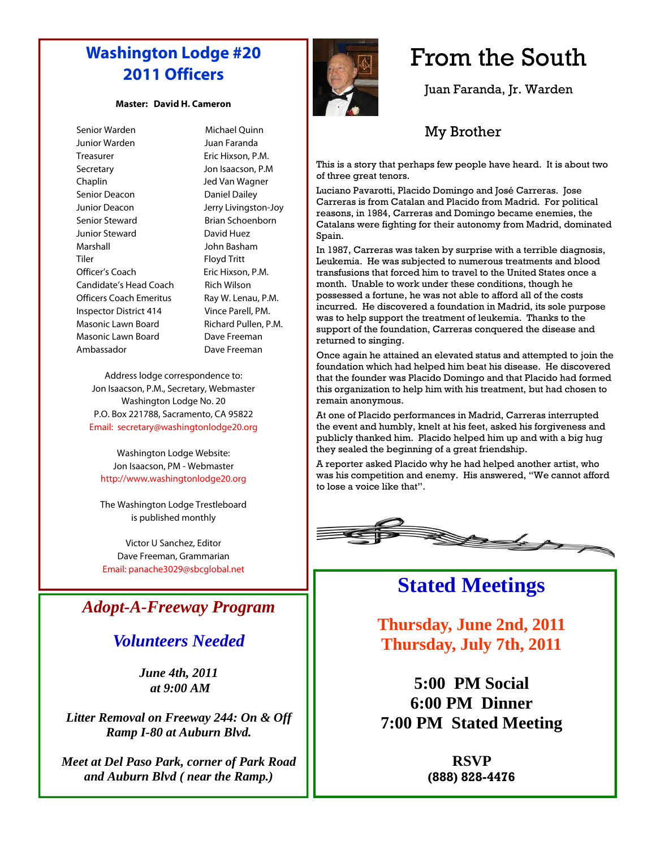#### **Washington Lodge #20 2011 Officers**

#### **Master: David H. Cameron**

| Senior Warden                 |
|-------------------------------|
| Junior Warden                 |
| Treasurer                     |
| Secretary                     |
| Chaplin                       |
| Senior Deacon                 |
| Junior Deacon                 |
| Senior Steward                |
| Junior Steward                |
| Marshall                      |
| Tiler                         |
| Officer's Coach               |
| Candidate's Head Coacl        |
| Officers Coach Emeritus       |
| <b>Inspector District 414</b> |
| Masonic Lawn Board            |
| Masonic Lawn Board            |
| Ambassador                    |
|                               |

Michael Ouinn Juan Faranda Eric Hixson, P.M. Jon Isaacson, P.M Jed Van Wagner Daniel Dailey Jerry Livingston-Joy Brian Schoenborn David Huez John Basham Floyd Tritt Eric Hixson, P.M. Candidate's Head Coach Rich Wilson Ray W. Lenau, P.M. Vince Parell, PM. Richard Pullen, P.M. Dave Freeman Dave Freeman

Address lodge correspondence to: Jon Isaacson, P.M., Secretary, Webmaster Washington Lodge No. 20 P.O. Box 221788, Sacramento, CA 95822 Email: secretary@washingtonlodge20.org

Washington Lodge Website: Jon Isaacson, PM - Webmaster http://www.washingtonlodge20.org

The Washington Lodge Trestleboard is published monthly

Victor U Sanchez, Editor Dave Freeman, Grammarian Email: panache3029@sbcglobal.net

#### *Adopt-A-Freeway Program*

#### *Volunteers Needed*

*June 4th, 2011 at 9:00 AM* 

*Litter Removal on Freeway 244: On & Off Ramp I-80 at Auburn Blvd.* 

*Meet at Del Paso Park, corner of Park Road and Auburn Blvd ( near the Ramp.)*



## From the South

Juan Faranda, Jr. Warden

#### My Brother

This is a story that perhaps few people have heard. It is about two of three great tenors.

Luciano Pavarotti, Placido Domingo and José Carreras. Jose Carreras is from Catalan and Placido from Madrid. For political reasons, in 1984, Carreras and Domingo became enemies, the Catalans were fighting for their autonomy from Madrid, dominated Spain.

In 1987, Carreras was taken by surprise with a terrible diagnosis, Leukemia. He was subjected to numerous treatments and blood transfusions that forced him to travel to the United States once a month. Unable to work under these conditions, though he possessed a fortune, he was not able to afford all of the costs incurred. He discovered a foundation in Madrid, its sole purpose was to help support the treatment of leukemia. Thanks to the support of the foundation, Carreras conquered the disease and returned to singing.

Once again he attained an elevated status and attempted to join the foundation which had helped him beat his disease. He discovered that the founder was Placido Domingo and that Placido had formed this organization to help him with his treatment, but had chosen to remain anonymous.

At one of Placido performances in Madrid, Carreras interrupted the event and humbly, knelt at his feet, asked his forgiveness and publicly thanked him. Placido helped him up and with a big hug they sealed the beginning of a great friendship.

A reporter asked Placido why he had helped another artist, who was his competition and enemy. His answered, "We cannot afford to lose a voice like that".



#### **Stated Meetings**

**Thursday, June 2nd, 2011 Thursday, July 7th, 2011** 

**5:00 PM Social 6:00 PM Dinner 7:00 PM Stated Meeting** 

> **RSVP (888) 828-4476**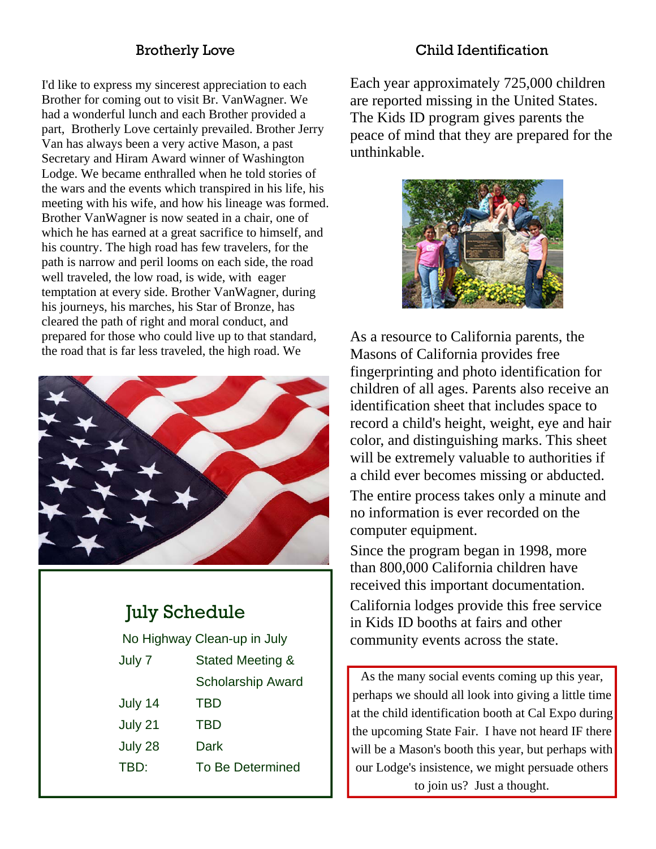#### Brotherly Love

I'd like to express my sincerest appreciation to each Brother for coming out to visit Br. VanWagner. We had a wonderful lunch and each Brother provided a part, Brotherly Love certainly prevailed. Brother Jerry Van has always been a very active Mason, a past Secretary and Hiram Award winner of Washington Lodge. We became enthralled when he told stories of the wars and the events which transpired in his life, his meeting with his wife, and how his lineage was formed. Brother VanWagner is now seated in a chair, one of which he has earned at a great sacrifice to himself, and his country. The high road has few travelers, for the path is narrow and peril looms on each side, the road well traveled, the low road, is wide, with eager temptation at every side. Brother VanWagner, during his journeys, his marches, his Star of Bronze, has cleared the path of right and moral conduct, and prepared for those who could live up to that standard, the road that is far less traveled, the high road. We



### July Schedule

No Highway Clean-up in July

| July 7  | Stated Meeting &         |  |
|---------|--------------------------|--|
|         | <b>Scholarship Award</b> |  |
| July 14 | TBD                      |  |
| July 21 | TBD                      |  |
| July 28 | Dark                     |  |
| TBD:    | <b>To Be Determined</b>  |  |
|         |                          |  |

Child Identification

Each year approximately 725,000 children are reported missing in the United States. The Kids ID program gives parents the peace of mind that they are prepared for the unthinkable.



As a resource to California parents, the Masons of California provides free fingerprinting and photo identification for children of all ages. Parents also receive an identification sheet that includes space to record a child's height, weight, eye and hair color, and distinguishing marks. This sheet will be extremely valuable to authorities if a child ever becomes missing or abducted. The entire process takes only a minute and no information is ever recorded on the computer equipment. Since the program began in 1998, more

than 800,000 California children have received this important documentation. California lodges provide this free service in Kids ID booths at fairs and other community events across the state.

As the many social events coming up this year, perhaps we should all look into giving a little time at the child identification booth at Cal Expo during the upcoming State Fair. I have not heard IF there will be a Mason's booth this year, but perhaps with our Lodge's insistence, we might persuade others to join us? Just a thought.